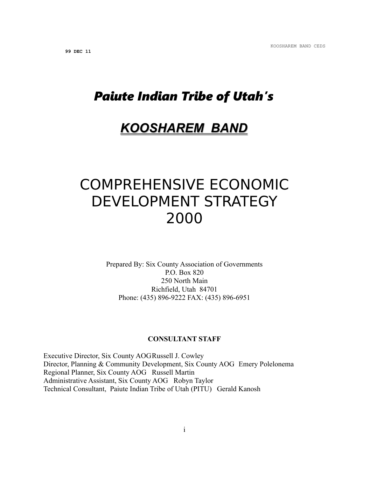# *Paiute Indian Tribe of Utah's*

## *KOOSHAREM BAND*

# COMPREHENSIVE ECONOMIC DEVELOPMENT STRATEGY 2000

Prepared By: Six County Association of Governments P.O. Box 820 250 North Main Richfield, Utah 84701 Phone: (435) 896-9222 FAX: (435) 896-6951

#### **CONSULTANT STAFF**

Executive Director, Six County AOGRussell J. Cowley Director, Planning & Community Development, Six County AOG Emery Polelonema Regional Planner, Six County AOG Russell Martin Administrative Assistant, Six County AOG Robyn Taylor Technical Consultant, Paiute Indian Tribe of Utah (PITU) Gerald Kanosh

i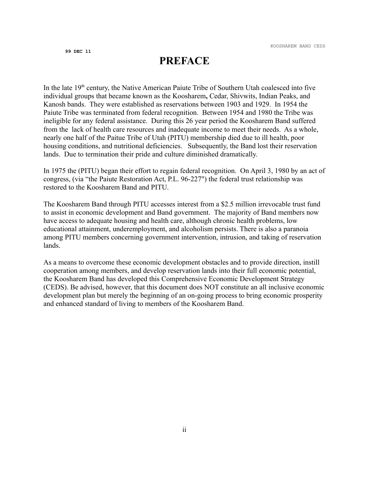### **PREFACE**

In the late  $19<sup>th</sup>$  century, the Native American Paiute Tribe of Southern Utah coalesced into five individual groups that became known as the Koosharem**,** Cedar, Shivwits, Indian Peaks, and Kanosh bands. They were established as reservations between 1903 and 1929. In 1954 the Paiute Tribe was terminated from federal recognition. Between 1954 and 1980 the Tribe was ineligible for any federal assistance. During this 26 year period the Koosharem Band suffered from the lack of health care resources and inadequate income to meet their needs. As a whole, nearly one half of the Paitue Tribe of Utah (PITU) membership died due to ill health, poor housing conditions, and nutritional deficiencies. Subsequently, the Band lost their reservation lands. Due to termination their pride and culture diminished dramatically.

In 1975 the (PITU) began their effort to regain federal recognition. On April 3, 1980 by an act of congress, (via "the Paiute Restoration Act, P.L. 96-227") the federal trust relationship was restored to the Koosharem Band and PITU.

The Koosharem Band through PITU accesses interest from a \$2.5 million irrevocable trust fund to assist in economic development and Band government. The majority of Band members now have access to adequate housing and health care, although chronic health problems, low educational attainment, underemployment, and alcoholism persists. There is also a paranoia among PITU members concerning government intervention, intrusion, and taking of reservation lands.

As a means to overcome these economic development obstacles and to provide direction, instill cooperation among members, and develop reservation lands into their full economic potential, the Koosharem Band has developed this Comprehensive Economic Development Strategy (CEDS). Be advised, however, that this document does NOT constitute an all inclusive economic development plan but merely the beginning of an on-going process to bring economic prosperity and enhanced standard of living to members of the Koosharem Band.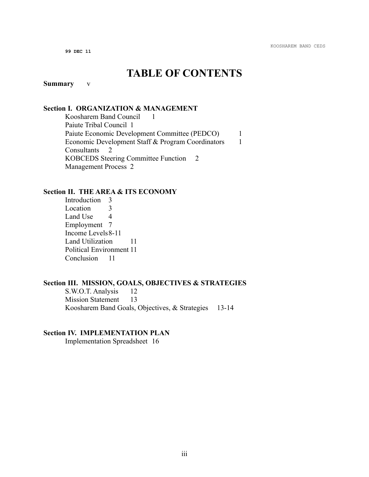### **TABLE OF CONTENTS**

#### **Summary** v

#### **Section I. ORGANIZATION & MANAGEMENT**

Koosharem Band Council 1 Paiute Tribal Council 1 Paiute Economic Development Committee (PEDCO) 1 Economic Development Staff & Program Coordinators 1 Consultants 2 KOBCEDS Steering Committee Function 2 Management Process 2

#### **Section II. THE AREA & ITS ECONOMY**

Introduction 3 Location 3 Land Use 4 Employment 7 Income Levels8-11 Land Utilization 11 Political Environment 11 Conclusion 11

#### **Section III. MISSION, GOALS, OBJECTIVES & STRATEGIES**

S.W.O.T. Analysis 12 Mission Statement 13 Koosharem Band Goals, Objectives, & Strategies 13-14

#### **Section IV. IMPLEMENTATION PLAN**

Implementation Spreadsheet 16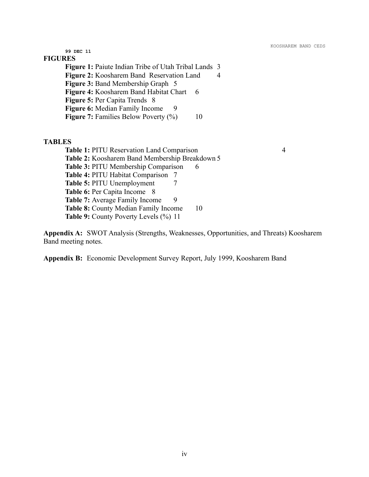**99 DEC 11 FIGURES Figure 1:** Paiute Indian Tribe of Utah Tribal Lands 3 **Figure 2:** Koosharem Band Reservation Land 4 **Figure 3:** Band Membership Graph 5 **Figure 4: Koosharem Band Habitat Chart 6 Figure 5:** Per Capita Trends 8 **Figure 6:** Median Family Income 9 **Figure 7:** Families Below Poverty (%) 10

#### **TABLES**

**Table 1:** PITU Reservation Land Comparison 4 **Table 2:** Koosharem Band Membership Breakdown 5 **Table 3: PITU Membership Comparison 6 Table 4:** PITU Habitat Comparison 7 **Table 5:** PITU Unemployment 7 **Table 6: Per Capita Income** 8 **Table 7:** Average Family Income 9 **Table 8:** County Median Family Income 10 **Table 9:** County Poverty Levels (%) 11

**Appendix A:** SWOT Analysis (Strengths, Weaknesses, Opportunities, and Threats) Koosharem Band meeting notes.

**Appendix B:** Economic Development Survey Report, July 1999, Koosharem Band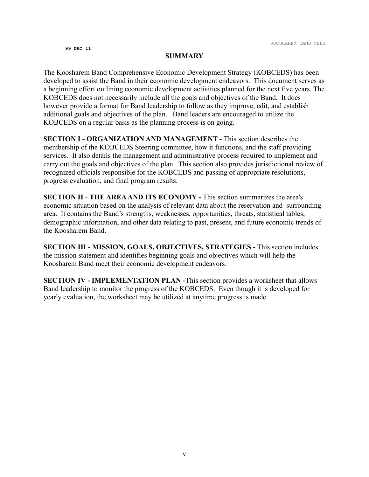#### **SUMMARY**

The Koosharem Band Comprehensive Economic Development Strategy (KOBCEDS) has been developed to assist the Band in their economic development endeavors. This document serves as a beginning effort outlining economic development activities planned for the next five years. The KOBCEDS does not necessarily include all the goals and objectives of the Band. It does however provide a format for Band leadership to follow as they improve, edit, and establish additional goals and objectives of the plan. Band leaders are encouraged to utilize the KOBCEDS on a regular basis as the planning process is on going.

**SECTION I - ORGANIZATION AND MANAGEMENT -** This section describes the membership of the KOBCEDS Steering committee, how it functions, and the staff providing services. It also details the management and administrative process required to implement and carry out the goals and objectives of the plan. This section also provides jurisdictional review of recognized officials responsible for the KOBCEDS and passing of appropriate resolutions, progress evaluation, and final program results.

**SECTION II** - **THE AREA AND ITS ECONOMY -** This section summarizes the area's economic situation based on the analysis of relevant data about the reservation and surrounding area. It contains the Band's strengths, weaknesses, opportunities, threats, statistical tables, demographic information, and other data relating to past, present, and future economic trends of the Koosharem Band.

**SECTION III - MISSION, GOALS, OBJECTIVES, STRATEGIES -** This section includes the mission statement and identifies beginning goals and objectives which will help the Koosharem Band meet their economic development endeavors.

**SECTION IV - IMPLEMENTATION PLAN -**This section provides a worksheet that allows Band leadership to monitor the progress of the KOBCEDS. Even though it is developed for yearly evaluation, the worksheet may be utilized at anytime progress is made.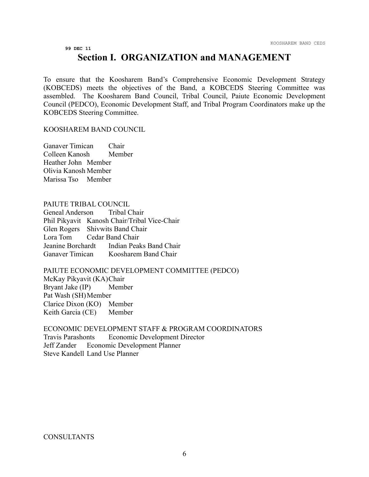### **Section I. ORGANIZATION and MANAGEMENT**

To ensure that the Koosharem Band's Comprehensive Economic Development Strategy (KOBCEDS) meets the objectives of the Band, a KOBCEDS Steering Committee was assembled. The Koosharem Band Council, Tribal Council, Paiute Economic Development Council (PEDCO), Economic Development Staff, and Tribal Program Coordinators make up the KOBCEDS Steering Committee.

#### KOOSHAREM BAND COUNCIL

Ganaver Timican Chair Colleen Kanosh Member Heather John Member Olivia Kanosh Member Marissa Tso Member

#### PAIUTE TRIBAL COUNCIL

Geneal Anderson Tribal Chair Phil Pikyavit Kanosh Chair/Tribal Vice-Chair Glen Rogers Shivwits Band Chair Lora Tom Cedar Band Chair Jeanine Borchardt Indian Peaks Band Chair Ganaver Timican Koosharem Band Chair

#### PAIUTE ECONOMIC DEVELOPMENT COMMITTEE (PEDCO)

McKay Pikyavit (KA)Chair Bryant Jake (IP) Member Pat Wash (SH) Member Clarice Dixon (KO) Member Keith Garcia (CE) Member

ECONOMIC DEVELOPMENT STAFF & PROGRAM COORDINATORS Travis Parashonts Economic Development Director Jeff Zander Economic Development Planner Steve Kandell Land Use Planner

#### **CONSULTANTS**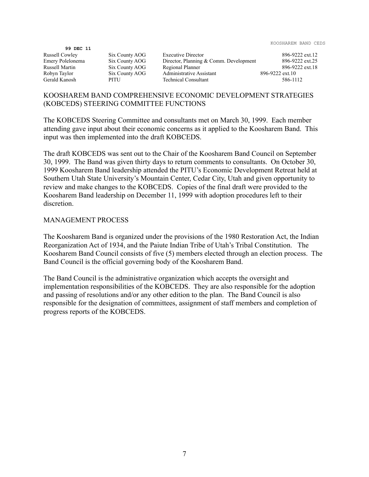|                  |                |                                        | 1000 REPORT DINE C |
|------------------|----------------|----------------------------------------|--------------------|
| 99 DEC 11        |                |                                        |                    |
| Russell Cowley   | Six County AOG | <b>Executive Director</b>              | 896-9222 ext.12    |
| Emery Polelonema | Six County AOG | Director, Planning & Comm. Development | 896-9222 ext.25    |
| Russell Martin   | Six County AOG | Regional Planner                       | 896-9222 ext.18    |
| Robyn Taylor     | Six County AOG | Administrative Assistant               | 896-9222 ext.10    |
| Gerald Kanosh    | PITU           | <b>Technical Consultant</b>            | 586-1112           |
|                  |                |                                        |                    |

#### KOOSHAREM BAND COMPREHENSIVE ECONOMIC DEVELOPMENT STRATEGIES (KOBCEDS) STEERING COMMITTEE FUNCTIONS

The KOBCEDS Steering Committee and consultants met on March 30, 1999. Each member attending gave input about their economic concerns as it applied to the Koosharem Band. This input was then implemented into the draft KOBCEDS.

The draft KOBCEDS was sent out to the Chair of the Koosharem Band Council on September 30, 1999. The Band was given thirty days to return comments to consultants. On October 30, 1999 Koosharem Band leadership attended the PITU's Economic Development Retreat held at Southern Utah State University's Mountain Center, Cedar City, Utah and given opportunity to review and make changes to the KOBCEDS. Copies of the final draft were provided to the Koosharem Band leadership on December 11, 1999 with adoption procedures left to their discretion.

#### MANAGEMENT PROCESS

The Koosharem Band is organized under the provisions of the 1980 Restoration Act, the Indian Reorganization Act of 1934, and the Paiute Indian Tribe of Utah's Tribal Constitution. The Koosharem Band Council consists of five (5) members elected through an election process. The Band Council is the official governing body of the Koosharem Band.

The Band Council is the administrative organization which accepts the oversight and implementation responsibilities of the KOBCEDS. They are also responsible for the adoption and passing of resolutions and/or any other edition to the plan. The Band Council is also responsible for the designation of committees, assignment of staff members and completion of progress reports of the KOBCEDS.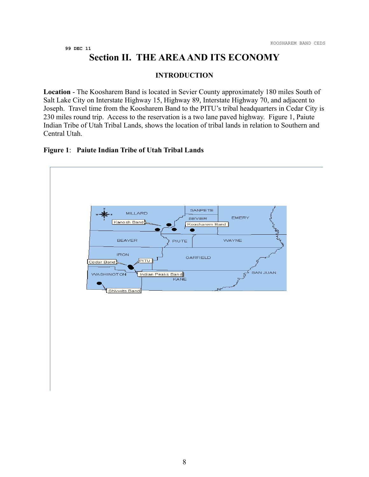### **Section II. THE AREA AND ITS ECONOMY**

#### **INTRODUCTION**

**Location** - The Koosharem Band is located in Sevier County approximately 180 miles South of Salt Lake City on Interstate Highway 15, Highway 89, Interstate Highway 70, and adjacent to Joseph. Travel time from the Koosharem Band to the PITU's tribal headquarters in Cedar City is 230 miles round trip. Access to the reservation is a two lane paved highway. Figure 1, Paiute Indian Tribe of Utah Tribal Lands, shows the location of tribal lands in relation to Southern and Central Utah.

#### **Figure 1**: **Paiute Indian Tribe of Utah Tribal Lands**

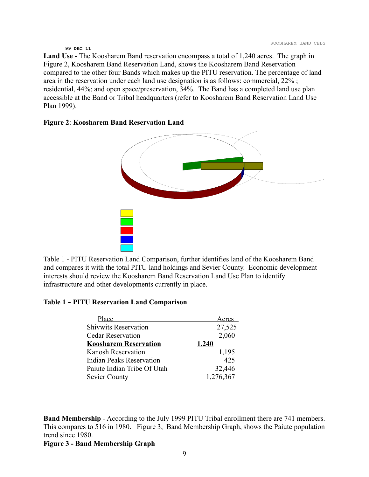**Land Use -** The Koosharem Band reservation encompass a total of 1,240 acres. The graph in Figure 2, Koosharem Band Reservation Land, shows the Koosharem Band Reservation compared to the other four Bands which makes up the PITU reservation. The percentage of land area in the reservation under each land use designation is as follows: commercial, 22% ; residential, 44%; and open space/preservation, 34%. The Band has a completed land use plan accessible at the Band or Tribal headquarters (refer to Koosharem Band Reservation Land Use Plan 1999).

#### **Figure 2**: **Koosharem Band Reservation Land**



Table 1 - PITU Reservation Land Comparison, further identifies land of the Koosharem Band and compares it with the total PITU land holdings and Sevier County. Economic development interests should review the Koosharem Band Reservation Land Use Plan to identify infrastructure and other developments currently in place.

#### **Table 1 - PITU Reservation Land Comparison**

| Place                           | Acres     |
|---------------------------------|-----------|
| <b>Shivwits Reservation</b>     | 27,525    |
| <b>Cedar Reservation</b>        | 2,060     |
| <b>Koosharem Reservation</b>    | 1,240     |
| <b>Kanosh Reservation</b>       | 1,195     |
| <b>Indian Peaks Reservation</b> | 425       |
| Paiute Indian Tribe Of Utah     | 32,446    |
| <b>Sevier County</b>            | 1,276,367 |

**Band Membership** - According to the July 1999 PITU Tribal enrollment there are 741 members. This compares to 516 in 1980. Figure 3, Band Membership Graph, shows the Paiute population trend since 1980.

**Figure 3 - Band Membership Graph**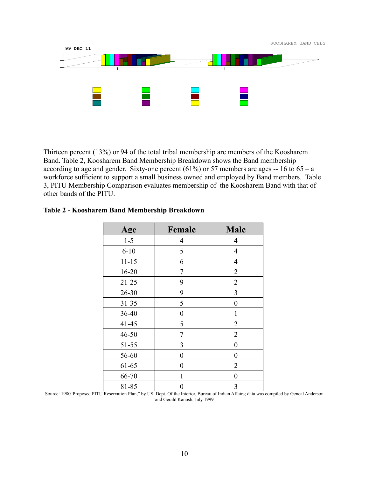

Thirteen percent (13%) or 94 of the total tribal membership are members of the Koosharem Band. Table 2, Koosharem Band Membership Breakdown shows the Band membership according to age and gender. Sixty-one percent  $(61\%)$  or 57 members are ages -- 16 to 65 – a workforce sufficient to support a small business owned and employed by Band members. Table 3, PITU Membership Comparison evaluates membership of the Koosharem Band with that of other bands of the PITU.

| Age       | Female       | <b>Male</b>      |
|-----------|--------------|------------------|
| $1 - 5$   | 4            | 4                |
| $6 - 10$  | 5            | $\overline{4}$   |
| $11 - 15$ | 6            | 4                |
| $16 - 20$ | 7            | $\overline{2}$   |
| $21 - 25$ | 9            | $\overline{2}$   |
| $26 - 30$ | 9            | 3                |
| $31 - 35$ | 5            | $\boldsymbol{0}$ |
| 36-40     | 0            | $\mathbf{1}$     |
| $41 - 45$ | 5            | $\overline{2}$   |
| $46 - 50$ | 7            | $\overline{2}$   |
| $51 - 55$ | 3            | $\boldsymbol{0}$ |
| 56-60     | 0            | $\boldsymbol{0}$ |
| 61-65     | 0            | $\overline{2}$   |
| 66-70     | $\mathbf{1}$ | $\boldsymbol{0}$ |
| 81-85     | 0            | 3                |

#### **Table 2 - Koosharem Band Membership Breakdown**

Source: 1980"Proposed PITU Reservation Plan," by US. Dept. Of the Interior, Bureau of Indian Affairs; data was compiled by Geneal Anderson and Gerald Kanosh, July 1999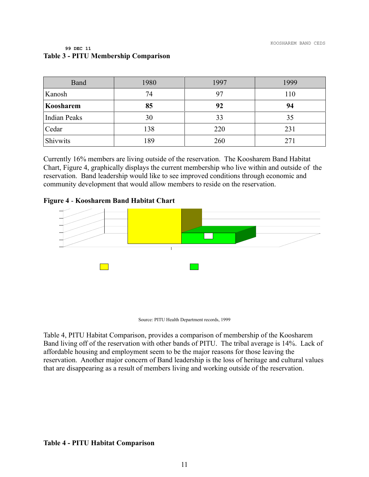| Band                | 1980 | 1997 | 1999 |
|---------------------|------|------|------|
| Kanosh              | 74   | 97   | 110  |
| Koosharem           | 85   | 92   | 94   |
| <b>Indian Peaks</b> | 30   | 33   | 35   |
| Cedar               | 138  | 220  | 231  |
| Shivwits            | 189  | 260  | 271  |

#### **99 DEC 11 Table 3 - PITU Membership Comparison**

Currently 16% members are living outside of the reservation. The Koosharem Band Habitat Chart, Figure 4, graphically displays the current membership who live within and outside of the reservation. Band leadership would like to see improved conditions through economic and community development that would allow members to reside on the reservation.

#### **Figure 4** - **Koosharem Band Habitat Chart**



Source: PITU Health Department records, 1999

Table 4, PITU Habitat Comparison, provides a comparison of membership of the Koosharem Band living off of the reservation with other bands of PITU. The tribal average is 14%. Lack of affordable housing and employment seem to be the major reasons for those leaving the reservation. Another major concern of Band leadership is the loss of heritage and cultural values that are disappearing as a result of members living and working outside of the reservation.

#### **Table 4 - PITU Habitat Comparison**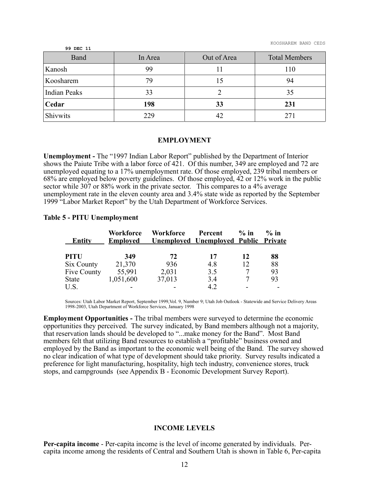KOOSHAREM BAND CEDS

| 99 DEC 11           |         |             |                      |
|---------------------|---------|-------------|----------------------|
| Band                | In Area | Out of Area | <b>Total Members</b> |
| Kanosh              | 99      |             | 110                  |
| Koosharem           | 79      | 15          | 94                   |
| <b>Indian Peaks</b> | 33      |             | 35                   |
| Cedar               | 198     | 33          | 231                  |
| Shivwits            | 229     | 42          |                      |

#### **EMPLOYMENT**

**Unemployment -** The "1997 Indian Labor Report" published by the Department of Interior shows the Paiute Tribe with a labor force of 421. Of this number, 349 are employed and 72 are unemployed equating to a 17% unemployment rate. Of those employed, 239 tribal members or 68% are employed below poverty guidelines. Of those employed, 42 or 12% work in the public sector while 307 or 88% work in the private sector. This compares to a 4% average unemployment rate in the eleven county area and 3.4% state wide as reported by the September 1999 "Labor Market Report" by the Utah Department of Workforce Services.

#### **Table 5 - PITU Unemployment**

| <b>Entity</b> | <b>Workforce</b><br><b>Employed</b> | <b>Workforce</b> | Percent<br><u><b>Unemployed Unemployed Public Private</b></u> | $\%$ in | $\%$ in |
|---------------|-------------------------------------|------------------|---------------------------------------------------------------|---------|---------|
| <b>PITU</b>   | 349                                 | 72               | 17                                                            | 12      | 88      |
| Six County    | 21,370                              | 936              | 4.8                                                           | 12      | 88      |
| Five County   | 55,991                              | 2,031            | 3.5                                                           | 7       | 93      |
| State         | 1,051,600                           | 37,013           | 3.4                                                           |         | 93      |
| U.S.          |                                     |                  | 4.2                                                           |         |         |

Sources: Utah Labor Market Report, September 1999,Vol. 9, Number 9; Utah Job Outlook - Statewide and Service Delivery Areas 1998-2003, Utah Department of Workforce Services, January 1998

**Employment Opportunities -** The tribal members were surveyed to determine the economic opportunities they perceived. The survey indicated, by Band members although not a majority, that reservation lands should be developed to "...make money for the Band". Most Band members felt that utilizing Band resources to establish a "profitable" business owned and employed by the Band as important to the economic well being of the Band. The survey showed no clear indication of what type of development should take priority. Survey results indicated a preference for light manufacturing, hospitality, high tech industry, convenience stores, truck stops, and campgrounds (see Appendix B - Economic Development Survey Report).

#### **INCOME LEVELS**

**Per-capita income** - Per-capita income is the level of income generated by individuals. Percapita income among the residents of Central and Southern Utah is shown in Table 6, Per-capita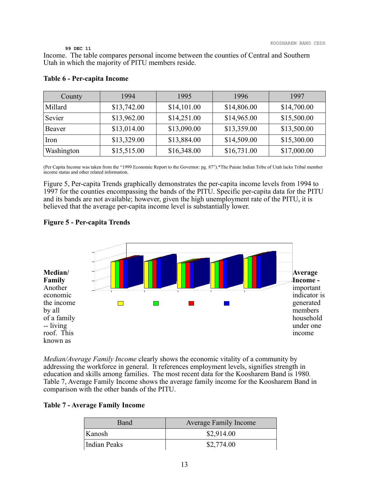Income. The table compares personal income between the counties of Central and Southern Utah in which the majority of PITU members reside.

| County     | 1994        | 1995        | 1996        | 1997        |
|------------|-------------|-------------|-------------|-------------|
| Millard    | \$13,742.00 | \$14,101.00 | \$14,806.00 | \$14,700.00 |
| Sevier     | \$13,962.00 | \$14,251.00 | \$14,965.00 | \$15,500.00 |
| Beaver     | \$13,014.00 | \$13,090.00 | \$13,359.00 | \$13,500.00 |
| Iron       | \$13,329.00 | \$13,884.00 | \$14,509.00 | \$15,300.00 |
| Washington | \$15,515.00 | \$16,348.00 | \$16,731.00 | \$17,000.00 |

#### **Table 6 - Per-capita Income**

(Per Capita Income was taken from the "1999 Economic Report to the Governor: pg. 87").\*The Paiute Indian Tribe of Utah lacks Tribal member income status and other related information.

Figure 5, Per-capita Trends graphically demonstrates the per-capita income levels from 1994 to 1997 for the counties encompassing the bands of the PITU. Specific per-capita data for the PITU and its bands are not available; however, given the high unemployment rate of the PITU, it is believed that the average per-capita income level is substantially lower.

#### **Figure 5 - Per-capita Trends**



*Median/Average Family Income* clearly shows the economic vitality of a community by addressing the workforce in general. It references employment levels, signifies strength in education and skills among families. The most recent data for the Koosharem Band is 1980. Table 7, Average Family Income shows the average family income for the Koosharem Band in comparison with the other bands of the PITU.

#### **Table 7 - Average Family Income**

| Band         | <b>Average Family Income</b> |
|--------------|------------------------------|
| Kanosh       | \$2,914.00                   |
| Indian Peaks | \$2,774.00                   |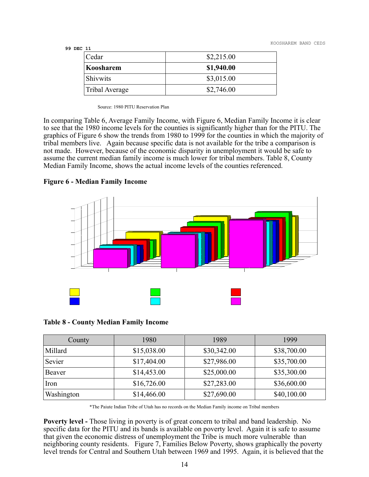KOOSHAREM BAND CEDS

#### **99 DEC 11**

| Cedar           | \$2,215.00 |
|-----------------|------------|
| Koosharem       | \$1,940.00 |
| <b>Shivwits</b> | \$3,015.00 |
| Tribal Average  | \$2,746.00 |

Source: 1980 PITU Reservation Plan

In comparing Table 6, Average Family Income, with Figure 6, Median Family Income it is clear to see that the 1980 income levels for the counties is significantly higher than for the PITU. The graphics of Figure 6 show the trends from 1980 to 1999 for the counties in which the majority of tribal members live. Again because specific data is not available for the tribe a comparison is not made. However, because of the economic disparity in unemployment it would be safe to assume the current median family income is much lower for tribal members. Table 8, County Median Family Income, shows the actual income levels of the counties referenced.

#### **Figure 6 - Median Family Income**



#### **Table 8 - County Median Family Income**

| County     | 1980        | 1989        | 1999        |
|------------|-------------|-------------|-------------|
| Millard    | \$15,038.00 | \$30,342.00 | \$38,700.00 |
| Sevier     | \$17,404.00 | \$27,986.00 | \$35,700.00 |
| Beaver     | \$14,453.00 | \$25,000.00 | \$35,300.00 |
| Iron       | \$16,726.00 | \$27,283.00 | \$36,600.00 |
| Washington | \$14,466.00 | \$27,690.00 | \$40,100.00 |

\*The Paiute Indian Tribe of Utah has no records on the Median Family income on Tribal members

**Poverty level -** Those living in poverty is of great concern to tribal and band leadership. No specific data for the PITU and its bands is available on poverty level. Again it is safe to assume that given the economic distress of unemployment the Tribe is much more vulnerable than neighboring county residents. Figure 7, Families Below Poverty, shows graphically the poverty level trends for Central and Southern Utah between 1969 and 1995. Again, it is believed that the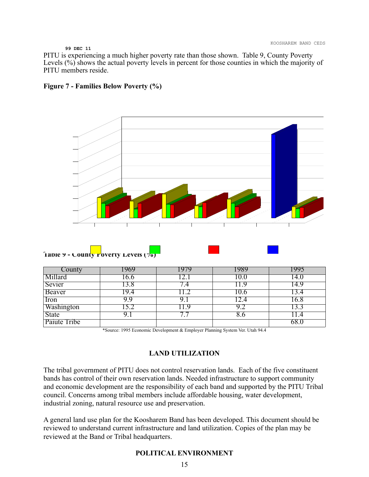PITU is experiencing a much higher poverty rate than those shown. Table 9, County Poverty Levels (%) shows the actual poverty levels in percent for those counties in which the majority of PITU members reside.





| County              | 969  | 979       | 989  |       |
|---------------------|------|-----------|------|-------|
| Millard             | .6.6 |           | 10.0 | l4.0  |
| Sevier              |      | .4        | 1.9  | l 4.9 |
| Beaver              | .9.4 |           | 10.0 | 3.4   |
| Iron                | 9.9  |           | 2.4  | 16.8  |
| Washington          |      | 19        |      |       |
| <b>State</b>        |      | $\bullet$ | δ.Ο  | .4    |
| <b>Paiute Tribe</b> |      |           |      | 68.0  |

\*Source: 1995 Economic Development & Employer Planning System Ver. Utah 94.4

#### **LAND UTILIZATION**

The tribal government of PITU does not control reservation lands. Each of the five constituent bands has control of their own reservation lands. Needed infrastructure to support community and economic development are the responsibility of each band and supported by the PITU Tribal council. Concerns among tribal members include affordable housing, water development, industrial zoning, natural resource use and preservation.

A general land use plan for the Koosharem Band has been developed. This document should be reviewed to understand current infrastructure and land utilization. Copies of the plan may be reviewed at the Band or Tribal headquarters.

#### **POLITICAL ENVIRONMENT**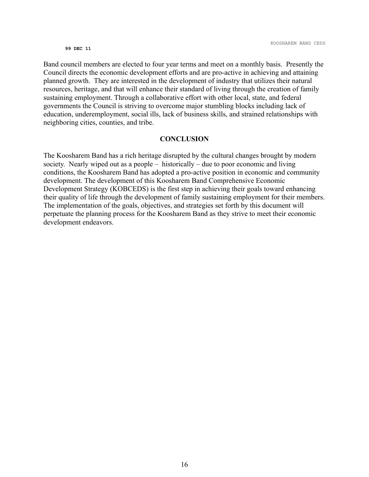Band council members are elected to four year terms and meet on a monthly basis. Presently the Council directs the economic development efforts and are pro-active in achieving and attaining planned growth. They are interested in the development of industry that utilizes their natural resources, heritage, and that will enhance their standard of living through the creation of family sustaining employment. Through a collaborative effort with other local, state, and federal governments the Council is striving to overcome major stumbling blocks including lack of education, underemployment, social ills, lack of business skills, and strained relationships with neighboring cities, counties, and tribe.

#### **CONCLUSION**

The Koosharem Band has a rich heritage disrupted by the cultural changes brought by modern society. Nearly wiped out as a people – historically – due to poor economic and living conditions, the Koosharem Band has adopted a pro-active position in economic and community development. The development of this Koosharem Band Comprehensive Economic Development Strategy (KOBCEDS) is the first step in achieving their goals toward enhancing their quality of life through the development of family sustaining employment for their members. The implementation of the goals, objectives, and strategies set forth by this document will perpetuate the planning process for the Koosharem Band as they strive to meet their economic development endeavors.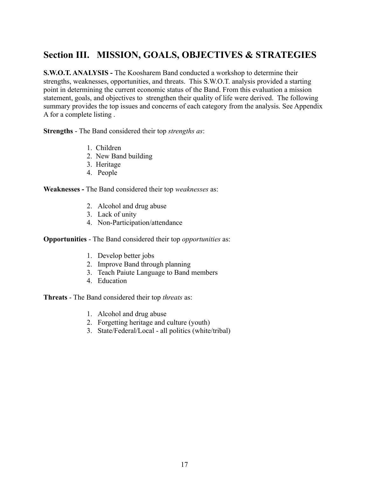### **Section III. MISSION, GOALS, OBJECTIVES & STRATEGIES**

**S.W.O.T. ANALYSIS - The Koosharem Band conducted a workshop to determine their** strengths, weaknesses, opportunities, and threats. This S.W.O.T. analysis provided a starting point in determining the current economic status of the Band. From this evaluation a mission statement, goals, and objectives to strengthen their quality of life were derived. The following summary provides the top issues and concerns of each category from the analysis. See Appendix A for a complete listing .

**Strengths** - The Band considered their top *strengths as*:

- 1. Children
- 2. New Band building
- 3. Heritage
- 4. People

**Weaknesses -** The Band considered their top *weaknesses* as:

- 2. Alcohol and drug abuse
- 3. Lack of unity
- 4. Non-Participation/attendance

**Opportunities** - The Band considered their top *opportunities* as:

- 1. Develop better jobs
- 2. Improve Band through planning
- 3. Teach Paiute Language to Band members
- 4. Education

**Threats** - The Band considered their top *threats* as:

- 1. Alcohol and drug abuse
- 2. Forgetting heritage and culture (youth)
- 3. State/Federal/Local all politics (white/tribal)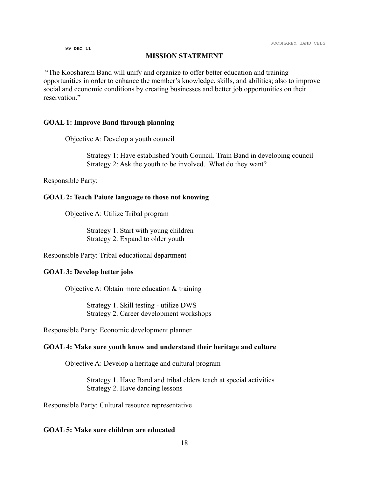#### **MISSION STATEMENT**

"The Koosharem Band will unify and organize to offer better education and training opportunities in order to enhance the member's knowledge, skills, and abilities; also to improve social and economic conditions by creating businesses and better job opportunities on their reservation."

#### **GOAL 1: Improve Band through planning**

Objective A: Develop a youth council

Strategy 1: Have established Youth Council. Train Band in developing council Strategy 2: Ask the youth to be involved. What do they want?

Responsible Party:

#### **GOAL 2: Teach Paiute language to those not knowing**

Objective A: Utilize Tribal program

Strategy 1. Start with young children Strategy 2. Expand to older youth

Responsible Party: Tribal educational department

#### **GOAL 3: Develop better jobs**

Objective A: Obtain more education & training

Strategy 1. Skill testing - utilize DWS Strategy 2. Career development workshops

Responsible Party: Economic development planner

#### **GOAL 4: Make sure youth know and understand their heritage and culture**

Objective A: Develop a heritage and cultural program

Strategy 1. Have Band and tribal elders teach at special activities Strategy 2. Have dancing lessons

Responsible Party: Cultural resource representative

#### **GOAL 5: Make sure children are educated**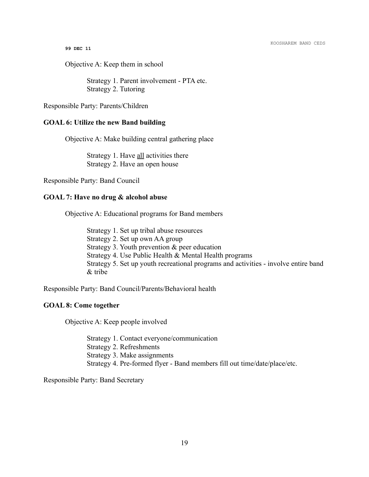Objective A: Keep them in school

Strategy 1. Parent involvement - PTA etc. Strategy 2. Tutoring

Responsible Party: Parents/Children

#### **GOAL 6: Utilize the new Band building**

Objective A: Make building central gathering place

Strategy 1. Have all activities there Strategy 2. Have an open house

Responsible Party: Band Council

#### **GOAL 7: Have no drug & alcohol abuse**

Objective A: Educational programs for Band members

Strategy 1. Set up tribal abuse resources Strategy 2. Set up own AA group Strategy 3. Youth prevention & peer education Strategy 4. Use Public Health & Mental Health programs Strategy 5. Set up youth recreational programs and activities - involve entire band & tribe

Responsible Party: Band Council/Parents/Behavioral health

#### **GOAL 8: Come together**

Objective A: Keep people involved

Strategy 1. Contact everyone/communication Strategy 2. Refreshments Strategy 3. Make assignments Strategy 4. Pre-formed flyer - Band members fill out time/date/place/etc.

Responsible Party: Band Secretary